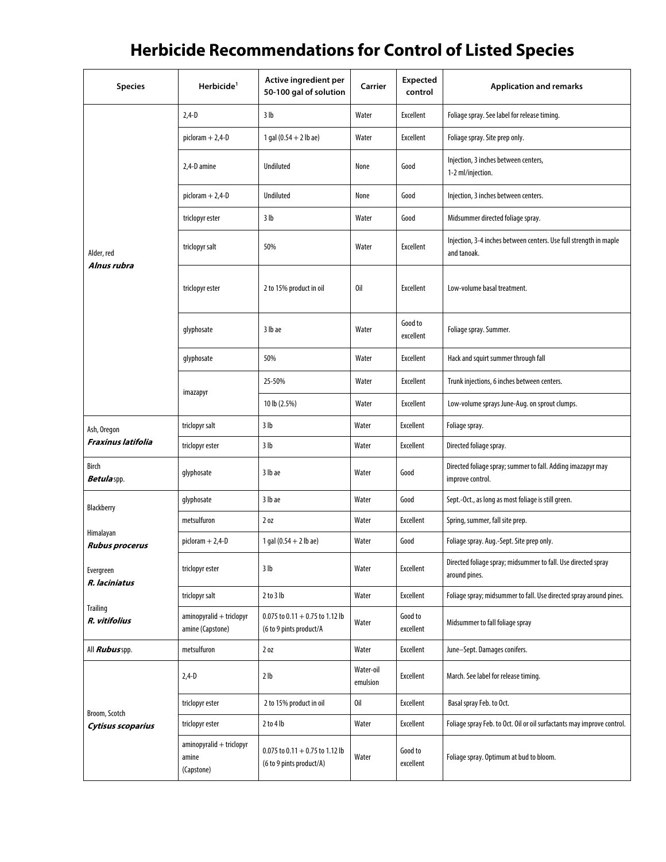## **Herbicide Recommendations for Control of Listed Species**

| <b>Species</b>                     | Herbicide <sup>1</sup>                          | Active ingredient per<br>50-100 gal of solution               | Carrier               | <b>Expected</b><br>control | <b>Application and remarks</b>                                                   |
|------------------------------------|-------------------------------------------------|---------------------------------------------------------------|-----------------------|----------------------------|----------------------------------------------------------------------------------|
|                                    | $2,4-D$                                         | 3 <sub>lb</sub>                                               | Water                 | Excellent                  | Foliage spray. See label for release timing.                                     |
|                                    | $pichctan + 2,4-D$                              | 1 gal $(0.54 + 2$ lb ae)                                      | Water                 | Excellent                  | Foliage spray. Site prep only.                                                   |
|                                    | 2,4-D amine                                     | <b>Undiluted</b>                                              | None                  | Good                       | Injection, 3 inches between centers,<br>1-2 ml/injection.                        |
|                                    | $pichctan + 2,4-D$                              | Undiluted                                                     | None                  | Good                       | Injection, 3 inches between centers.                                             |
|                                    | triclopyr ester                                 | 3 <sub>lb</sub>                                               | Water                 | Good                       | Midsummer directed foliage spray.                                                |
| Alder, red<br>Alnus rubra          | triclopyr salt                                  | 50%                                                           | Water                 | Excellent                  | Injection, 3-4 inches between centers. Use full strength in maple<br>and tanoak. |
|                                    | triclopyr ester                                 | 2 to 15% product in oil                                       | 0il                   | Excellent                  | Low-volume basal treatment.                                                      |
|                                    | glyphosate                                      | 3 lb ae                                                       | Water                 | Good to<br>excellent       | Foliage spray. Summer.                                                           |
|                                    | glyphosate                                      | 50%                                                           | Water                 | Excellent                  | Hack and squirt summer through fall                                              |
|                                    | imazapyr                                        | 25-50%                                                        | Water                 | Excellent                  | Trunk injections, 6 inches between centers.                                      |
|                                    |                                                 | 10 lb (2.5%)                                                  | Water                 | Excellent                  | Low-volume sprays June-Aug. on sprout clumps.                                    |
| Ash, Oregon                        | triclopyr salt                                  | 3 <sub>lb</sub>                                               | Water                 | <b>Excellent</b>           | Foliage spray.                                                                   |
| <b>Fraxinus latifolia</b>          | triclopyr ester                                 | 3 lb                                                          | Water                 | Excellent                  | Directed foliage spray.                                                          |
| <b>Birch</b><br>Betulaspp.         | glyphosate                                      | 3 lb ae                                                       | Water                 | Good                       | Directed foliage spray; summer to fall. Adding imazapyr may<br>improve control.  |
| Blackberry                         | glyphosate                                      | 3 lb ae                                                       | Water                 | Good                       | Sept.-Oct., as long as most foliage is still green.                              |
|                                    | metsulfuron                                     | 2 <sub>0Z</sub>                                               | Water                 | <b>Excellent</b>           | Spring, summer, fall site prep.                                                  |
| Himalayan<br><b>Rubus procerus</b> | $picloram + 2,4-D$                              | 1 gal $(0.54 + 2$ lb ae)                                      | Water                 | Good                       | Foliage spray. Aug.-Sept. Site prep only.                                        |
| Evergreen<br>R. laciniatus         | triclopyr ester                                 | 3 lb                                                          | Water                 | Excellent                  | Directed foliage spray; midsummer to fall. Use directed spray<br>around pines.   |
|                                    | triclopyr salt                                  | 2 to 3 lb                                                     | Water                 | <b>Excellent</b>           | Foliage spray; midsummer to fall. Use directed spray around pines.               |
| <b>Trailing</b><br>R. vitifolius   | aminopyralid + triclopyr<br>amine (Capstone)    | 0.075 to $0.11 + 0.75$ to 1.12 lb<br>(6 to 9 pints product/A  | Water                 | Good to<br>excellent       | Midsummer to fall foliage spray                                                  |
| All <i>Rubus</i> spp.              | metsulfuron                                     | 2 oz                                                          | Water                 | Excellent                  | June-Sept. Damages conifers.                                                     |
|                                    | 2,4-D                                           | 2 <sub>lb</sub>                                               | Water-oil<br>emulsion | Excellent                  | March. See label for release timing.                                             |
| Broom, Scotch                      | triclopyr ester                                 | 2 to 15% product in oil                                       | 0il                   | Excellent                  | Basal spray Feb. to Oct.                                                         |
| Cytisus scoparius                  | triclopyr ester                                 | $2$ to $4$ lb                                                 | Water                 | Excellent                  | Foliage spray Feb. to Oct. Oil or oil surfactants may improve control.           |
|                                    | aminopyralid + triclopyr<br>amine<br>(Capstone) | 0.075 to $0.11 + 0.75$ to 1.12 lb<br>(6 to 9 pints product/A) | Water                 | Good to<br>excellent       | Foliage spray. Optimum at bud to bloom.                                          |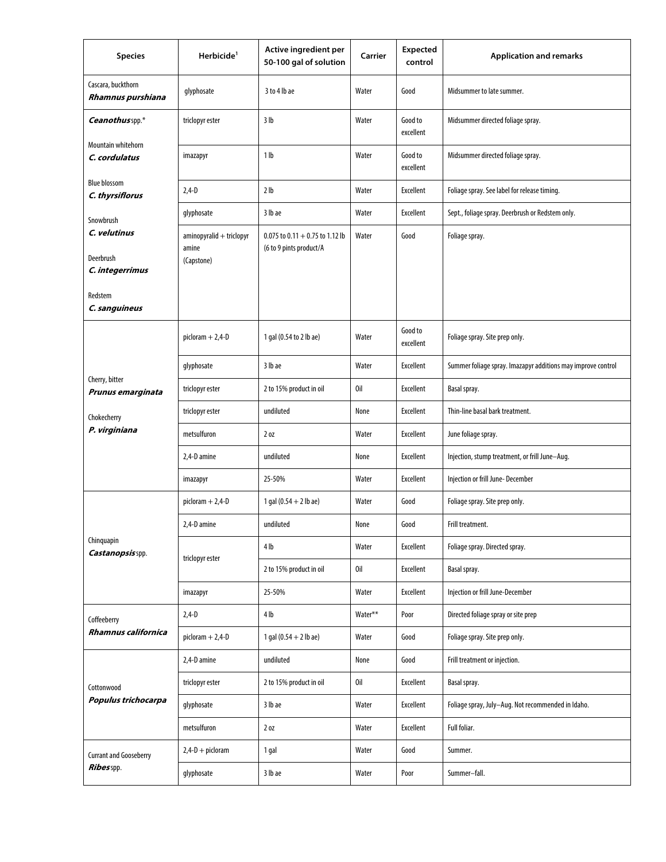| <b>Species</b>                          | Herbicide <sup>1</sup>                          | Active ingredient per<br>50-100 gal of solution              | Carrier | <b>Expected</b><br>control | <b>Application and remarks</b>                               |
|-----------------------------------------|-------------------------------------------------|--------------------------------------------------------------|---------|----------------------------|--------------------------------------------------------------|
| Cascara, buckthorn<br>Rhamnus purshiana | glyphosate                                      | 3 to 4 lb ae                                                 | Water   | Good                       | Midsummer to late summer.                                    |
| Ceanothusspp.*                          | triclopyr ester                                 | 3 lb                                                         | Water   | Good to<br>excellent       | Midsummer directed foliage spray.                            |
| Mountain whitehorn<br>C. cordulatus     | imazapyr                                        | 1 <sub>lb</sub>                                              | Water   | Good to<br>excellent       | Midsummer directed foliage spray.                            |
| <b>Blue blossom</b><br>C. thyrsiflorus  | $2,4 - D$                                       | 2 <sub>lb</sub>                                              | Water   | Excellent                  | Foliage spray. See label for release timing.                 |
| Snowbrush                               | glyphosate                                      | 3 lb ae                                                      | Water   | Excellent                  | Sept., foliage spray. Deerbrush or Redstem only.             |
| C. velutinus<br>Deerbrush               | aminopyralid + triclopyr<br>amine<br>(Capstone) | 0.075 to $0.11 + 0.75$ to 1.12 lb<br>(6 to 9 pints product/A | Water   | Good                       | Foliage spray.                                               |
| C. integerrimus<br>Redstem              |                                                 |                                                              |         |                            |                                                              |
| C. sanguineus                           |                                                 |                                                              |         |                            |                                                              |
|                                         | $picloram + 2,4-D$                              | 1 gal (0.54 to 2 lb ae)                                      | Water   | Good to<br>excellent       | Foliage spray. Site prep only.                               |
| Cherry, bitter<br>Prunus emarginata     | glyphosate                                      | 3 lb ae                                                      | Water   | Excellent                  | Summer foliage spray. Imazapyr additions may improve control |
|                                         | triclopyr ester                                 | 2 to 15% product in oil                                      | 0il     | <b>Excellent</b>           | Basal spray.                                                 |
| Chokecherry                             | triclopyr ester                                 | undiluted                                                    | None    | Excellent                  | Thin-line basal bark treatment.                              |
| P. virginiana                           | metsulfuron                                     | 20z                                                          | Water   | <b>Excellent</b>           | June foliage spray.                                          |
|                                         | 2,4-D amine                                     | undiluted                                                    | None    | Excellent                  | Injection, stump treatment, or frill June-Aug.               |
|                                         | imazapyr                                        | 25-50%                                                       | Water   | Excellent                  | Injection or frill June-December                             |
|                                         | $pichorem + 2,4-D$                              | 1 gal $(0.54 + 2$ lb ae)                                     | Water   | Good                       | Foliage spray. Site prep only.                               |
|                                         | 2,4-D amine                                     | undiluted                                                    | None    | Good                       | Frill treatment.                                             |
| Chinquapin<br>Castanopsisspp.           |                                                 | 4 <sub>lb</sub>                                              | Water   | Excellent                  | Foliage spray. Directed spray.                               |
|                                         | triclopyr ester                                 | 2 to 15% product in oil                                      | 0il     | Excellent                  | Basal spray.                                                 |
|                                         | imazapyr                                        | 25-50%                                                       | Water   | Excellent                  | Injection or frill June-December                             |
| Coffeeberry                             | $2,4 - D$                                       | 4 lb                                                         | Water** | Poor                       | Directed foliage spray or site prep                          |
| Rhamnus californica                     | $pichctan + 2,4-D$                              | 1 gal $(0.54 + 2$ lb ae)                                     | Water   | Good                       | Foliage spray. Site prep only.                               |
| Cottonwood<br>Populus trichocarpa       | 2,4-D amine                                     | undiluted                                                    | None    | Good                       | Frill treatment or injection.                                |
|                                         | triclopyr ester                                 | 2 to 15% product in oil                                      | 0il     | Excellent                  | Basal spray.                                                 |
|                                         | glyphosate                                      | 3 lb ae                                                      | Water   | Excellent                  | Foliage spray, July-Aug. Not recommended in Idaho.           |
|                                         | metsulfuron                                     | 20Z                                                          | Water   | Excellent                  | Full foliar.                                                 |
| <b>Currant and Gooseberry</b>           | $2,4-D + p$ icloram                             | 1 gal                                                        | Water   | Good                       | Summer.                                                      |
| Ribesspp.                               | glyphosate                                      | 3 lb ae                                                      | Water   | Poor                       | Summer-fall.                                                 |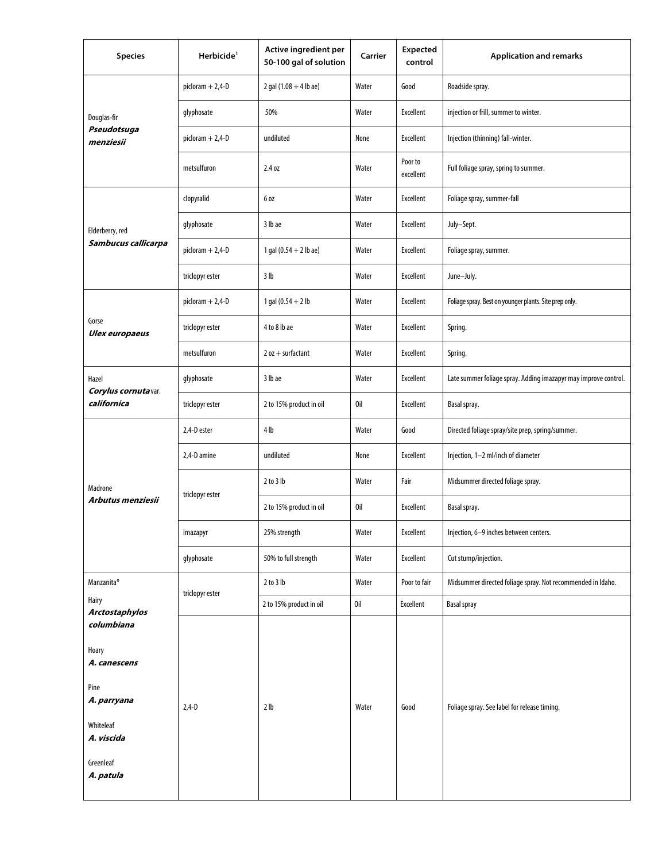| <b>Species</b>                              | Herbicide <sup>1</sup> | Active ingredient per<br>50-100 gal of solution | Carrier | Expected<br>control  | <b>Application and remarks</b>                                  |
|---------------------------------------------|------------------------|-------------------------------------------------|---------|----------------------|-----------------------------------------------------------------|
| Douglas-fir                                 | $picloram + 2,4-D$     | $2$ gal $(1.08 + 4$ lb ae)                      | Water   | Good                 | Roadside spray.                                                 |
|                                             | glyphosate             | 50%                                             | Water   | Excellent            | injection or frill, summer to winter.                           |
| Pseudotsuga<br>menziesii                    | picloram + 2,4-D       | undiluted                                       | None    | <b>Excellent</b>     | Injection (thinning) fall-winter.                               |
|                                             | metsulfuron            | 2.4 oz                                          | Water   | Poor to<br>excellent | Full foliage spray, spring to summer.                           |
|                                             | clopyralid             | 6 oz                                            | Water   | Excellent            | Foliage spray, summer-fall                                      |
| Elderberry, red                             | glyphosate             | 3 lb ae                                         | Water   | Excellent            | July-Sept.                                                      |
| Sambucus callicarpa                         | $pichram + 2,4-D$      | 1 gal $(0.54 + 2$ lb ae)                        | Water   | Excellent            | Foliage spray, summer.                                          |
|                                             | triclopyr ester        | 3 lb                                            | Water   | Excellent            | June-July.                                                      |
|                                             | $pichram + 2,4-D$      | 1 gal $(0.54 + 2)$                              | Water   | Excellent            | Foliage spray. Best on younger plants. Site prep only.          |
| Gorse<br><b>Ulex europaeus</b>              | triclopyr ester        | 4 to 8 lb ae                                    | Water   | Excellent            | Spring.                                                         |
|                                             | metsulfuron            | $2$ oz + surfactant                             | Water   | Excellent            | Spring.                                                         |
| Hazel<br>Corylus cornutavar.<br>californica | glyphosate             | 3 lb ae                                         | Water   | Excellent            | Late summer foliage spray. Adding imazapyr may improve control. |
|                                             | triclopyr ester        | 2 to 15% product in oil                         | 0il     | Excellent            | Basal spray.                                                    |
|                                             | 2,4-D ester            | 4 <sub>lb</sub>                                 | Water   | Good                 | Directed foliage spray/site prep, spring/summer.                |
|                                             | 2,4-D amine            | undiluted                                       | None    | Excellent            | Injection, 1-2 ml/inch of diameter                              |
| Madrone                                     | triclopyr ester        | $2$ to $3$ lb                                   | Water   | Fair                 | Midsummer directed foliage spray.                               |
| Arbutus menziesii                           |                        | 2 to 15% product in oil                         | 0il     | Excellent            | Basal spray.                                                    |
|                                             | imazapyr               | 25% strength                                    | Water   | Excellent            | Injection, 6-9 inches between centers.                          |
|                                             | glyphosate             | 50% to full strength                            | Water   | Excellent            | Cut stump/injection.                                            |
| Manzanita*                                  | triclopyr ester        | $2$ to $3$ lb                                   | Water   | Poor to fair         | Midsummer directed foliage spray. Not recommended in Idaho.     |
| Hairy<br>Arctostaphylos                     |                        | 2 to 15% product in oil                         | 0il     | Excellent            | <b>Basal spray</b>                                              |
| columbiana                                  |                        |                                                 |         |                      |                                                                 |
| Hoary<br>A. canescens                       |                        |                                                 |         |                      |                                                                 |
| Pine                                        |                        |                                                 |         |                      |                                                                 |
| A. parryana<br>Whiteleaf                    | $2,4 - D$              | 2 <sub>lb</sub>                                 | Water   | Good                 | Foliage spray. See label for release timing.                    |
| A. viscida                                  |                        |                                                 |         |                      |                                                                 |
| Greenleaf<br>A. patula                      |                        |                                                 |         |                      |                                                                 |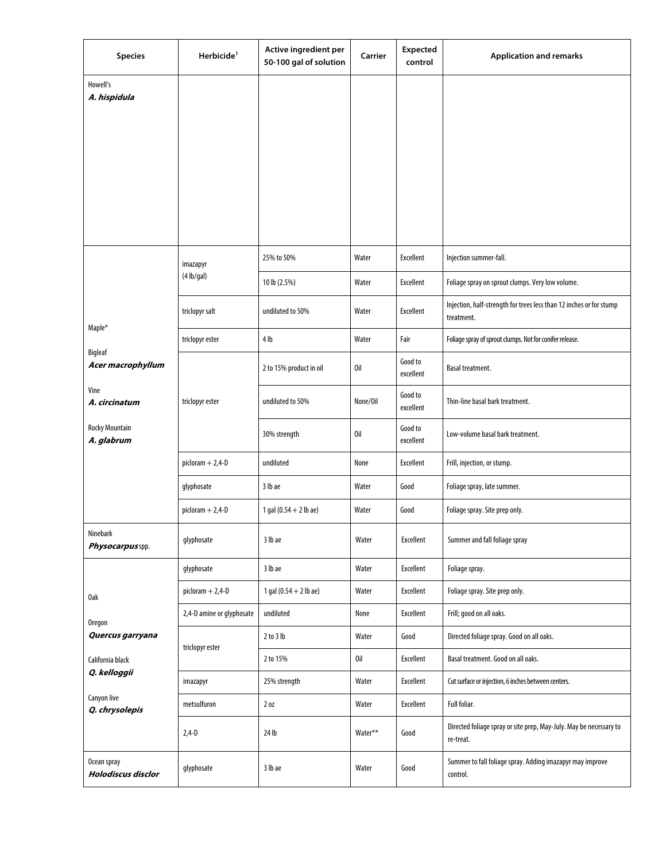| <b>Species</b>                                                                                  | Herbicide <sup>1</sup>    | Active ingredient per<br>50-100 gal of solution | Carrier  | <b>Expected</b><br>control | <b>Application and remarks</b>                                                    |
|-------------------------------------------------------------------------------------------------|---------------------------|-------------------------------------------------|----------|----------------------------|-----------------------------------------------------------------------------------|
| Howell's<br>A. hispidula                                                                        |                           |                                                 |          |                            |                                                                                   |
|                                                                                                 |                           |                                                 |          |                            |                                                                                   |
|                                                                                                 |                           |                                                 |          |                            |                                                                                   |
|                                                                                                 |                           |                                                 |          |                            |                                                                                   |
|                                                                                                 |                           |                                                 |          |                            |                                                                                   |
|                                                                                                 |                           |                                                 |          |                            |                                                                                   |
|                                                                                                 |                           |                                                 |          |                            |                                                                                   |
|                                                                                                 | imazapyr                  | 25% to 50%                                      | Water    | Excellent                  | Injection summer-fall.                                                            |
|                                                                                                 | $(4 \, lb/gal)$           | 10 lb (2.5%)                                    | Water    | Excellent                  | Foliage spray on sprout clumps. Very low volume.                                  |
| Maple*                                                                                          | triclopyr salt            | undiluted to 50%                                | Water    | Excellent                  | Injection, half-strength for trees less than 12 inches or for stump<br>treatment. |
| Bigleaf                                                                                         | triclopyr ester           | 4 <sub>lb</sub>                                 | Water    | Fair                       | Foliage spray of sprout clumps. Not for conifer release.                          |
| Acer macrophyllum                                                                               |                           | 2 to 15% product in oil                         | 0il      | Good to<br>excellent       | Basal treatment.                                                                  |
| Vine<br>A. circinatum                                                                           | triclopyr ester           | undiluted to 50%                                | None/Oil | Good to<br>excellent       | Thin-line basal bark treatment.                                                   |
| <b>Rocky Mountain</b><br>A. glabrum                                                             |                           | 30% strength                                    | 0il      | Good to<br>excellent       | Low-volume basal bark treatment.                                                  |
|                                                                                                 | $pidoram + 2,4-D$         | undiluted                                       | None     | Excellent                  | Frill, injection, or stump.                                                       |
|                                                                                                 | glyphosate                | 3 lb ae                                         | Water    | Good                       | Foliage spray, late summer.                                                       |
|                                                                                                 | $pichorem + 2,4-D$        | 1 gal $(0.54 + 2$ lb ae)                        | Water    | Good                       | Foliage spray. Site prep only.                                                    |
| Ninebark<br>Physocarpus spp.                                                                    | glyphosate                | 3 lb ae                                         | Water    | Excellent                  | Summer and fall foliage spray                                                     |
|                                                                                                 | glyphosate                | 3 lb ae                                         | Water    | Excellent                  | Foliage spray.                                                                    |
| 0ak                                                                                             | $pichorem + 2,4-D$        | 1 gal $(0.54 + 2$ lb ae)                        | Water    | Excellent                  | Foliage spray. Site prep only.                                                    |
| Oregon<br>Quercus garryana<br>California black<br>Q. kelloggii<br>Canyon live<br>Q. chrysolepis | 2,4-D amine or glyphosate | undiluted                                       | None     | Excellent                  | Frill; good on all oaks.                                                          |
|                                                                                                 | triclopyr ester           | $2$ to $3$ lb                                   | Water    | Good                       | Directed foliage spray. Good on all oaks.                                         |
|                                                                                                 |                           | 2 to 15%                                        | 0il      | Excellent                  | Basal treatment. Good on all oaks.                                                |
|                                                                                                 | imazapyr                  | 25% strength                                    | Water    | Excellent                  | Cut surface or injection, 6 inches between centers.                               |
|                                                                                                 | metsulfuron               | 20Z                                             | Water    | Excellent                  | Full foliar.                                                                      |
|                                                                                                 | $2,4-D$                   | 24 lb                                           | Water**  | Good                       | Directed foliage spray or site prep, May-July. May be necessary to<br>re-treat.   |
| Ocean spray<br><b>Holodiscus disclor</b>                                                        | glyphosate                | 3 lb ae                                         | Water    | Good                       | Summer to fall foliage spray. Adding imazapyr may improve<br>control.             |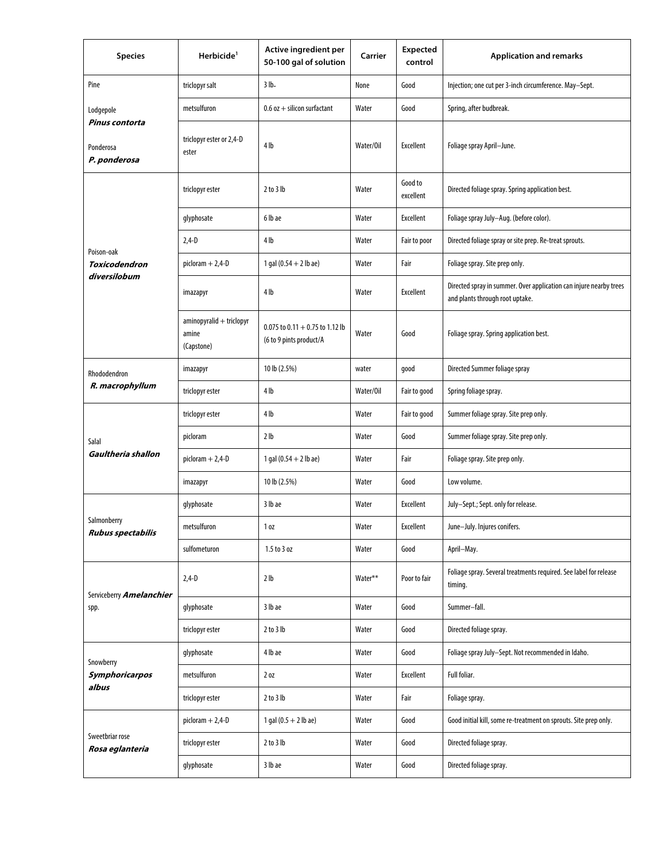| <b>Species</b>                              | Herbicide <sup>1</sup>                          | Active ingredient per<br>50-100 gal of solution              | Carrier   | Expected<br>control  | <b>Application and remarks</b>                                                                        |
|---------------------------------------------|-------------------------------------------------|--------------------------------------------------------------|-----------|----------------------|-------------------------------------------------------------------------------------------------------|
| Pine                                        | triclopyr salt                                  | $3 lb -$                                                     | None      | Good                 | Injection; one cut per 3-inch circumference. May-Sept.                                                |
| Lodgepole                                   | metsulfuron                                     | $0.6$ oz $+$ silicon surfactant                              | Water     | Good                 | Spring, after budbreak.                                                                               |
| Pinus contorta<br>Ponderosa<br>P. ponderosa | triclopyr ester or 2,4-D<br>ester               | 4 lb                                                         | Water/Oil | Excellent            | Foliage spray April-June.                                                                             |
|                                             | triclopyr ester                                 | $2$ to $3$ lb                                                | Water     | Good to<br>excellent | Directed foliage spray. Spring application best.                                                      |
|                                             | glyphosate                                      | 6 lb ae                                                      | Water     | <b>Excellent</b>     | Foliage spray July-Aug. (before color).                                                               |
| Poison-oak                                  | $2,4 - D$                                       | 4 <sub>lb</sub>                                              | Water     | Fair to poor         | Directed foliage spray or site prep. Re-treat sprouts.                                                |
| <b>Toxicodendron</b>                        | $picloram + 2,4-D$                              | 1 gal $(0.54 + 2$ lb ae)                                     | Water     | Fair                 | Foliage spray. Site prep only.                                                                        |
| diversilobum                                | imazapyr                                        | 4 <sub>lb</sub>                                              | Water     | Excellent            | Directed spray in summer. Over application can injure nearby trees<br>and plants through root uptake. |
|                                             | aminopyralid + triclopyr<br>amine<br>(Capstone) | 0.075 to $0.11 + 0.75$ to 1.12 lb<br>(6 to 9 pints product/A | Water     | Good                 | Foliage spray. Spring application best.                                                               |
| Rhododendron                                | imazapyr                                        | 10 lb (2.5%)                                                 | water     | good                 | Directed Summer foliage spray                                                                         |
| R. macrophyllum                             | triclopyr ester                                 | 4 lb                                                         | Water/Oil | Fair to good         | Spring foliage spray.                                                                                 |
|                                             | triclopyr ester                                 | 4 lb                                                         | Water     | Fair to good         | Summer foliage spray. Site prep only.                                                                 |
| Salal                                       | picloram                                        | 2 <sub>lb</sub>                                              | Water     | Good                 | Summer foliage spray. Site prep only.                                                                 |
| Gaultheria shallon                          | $picloram + 2,4-D$                              | 1 gal $(0.54 + 2$ lb ae)                                     | Water     | Fair                 | Foliage spray. Site prep only.                                                                        |
|                                             | imazapyr                                        | 10 lb (2.5%)                                                 | Water     | Good                 | Low volume.                                                                                           |
|                                             | glyphosate                                      | 3 lb ae                                                      | Water     | Excellent            | July-Sept.; Sept. only for release.                                                                   |
| Salmonberry<br><b>Rubus spectabilis</b>     | metsulfuron                                     | 1 <sub>0Z</sub>                                              | Water     | Excellent            | June-July. Injures conifers.                                                                          |
|                                             | sulfometuron                                    | 1.5 to 3 oz                                                  | Water     | Good                 | April-May.                                                                                            |
| Serviceberry <i>Amelanchier</i><br>spp.     | $2,4 - D$                                       | 2 <sub>lb</sub>                                              | Water**   | Poor to fair         | Foliage spray. Several treatments required. See label for release<br>timing.                          |
|                                             | glyphosate                                      | 3 lb ae                                                      | Water     | Good                 | Summer-fall.                                                                                          |
|                                             | triclopyr ester                                 | $2$ to $3$ lb                                                | Water     | Good                 | Directed foliage spray.                                                                               |
| Snowberry<br>Symphoricarpos<br>albus        | glyphosate                                      | 4 lb ae                                                      | Water     | Good                 | Foliage spray July-Sept. Not recommended in Idaho.                                                    |
|                                             | metsulfuron                                     | 20Z                                                          | Water     | Excellent            | Full foliar.                                                                                          |
|                                             | triclopyr ester                                 | $2$ to $3$ lb                                                | Water     | Fair                 | Foliage spray.                                                                                        |
| Sweetbriar rose<br>Rosa eglanteria          | $pichorem + 2,4-D$                              | 1 gal $(0.5 + 2$ lb ae)                                      | Water     | Good                 | Good initial kill, some re-treatment on sprouts. Site prep only.                                      |
|                                             | triclopyr ester                                 | $2$ to $3$ lb                                                | Water     | Good                 | Directed foliage spray.                                                                               |
|                                             | glyphosate                                      | 3 lb ae                                                      | Water     | Good                 | Directed foliage spray.                                                                               |